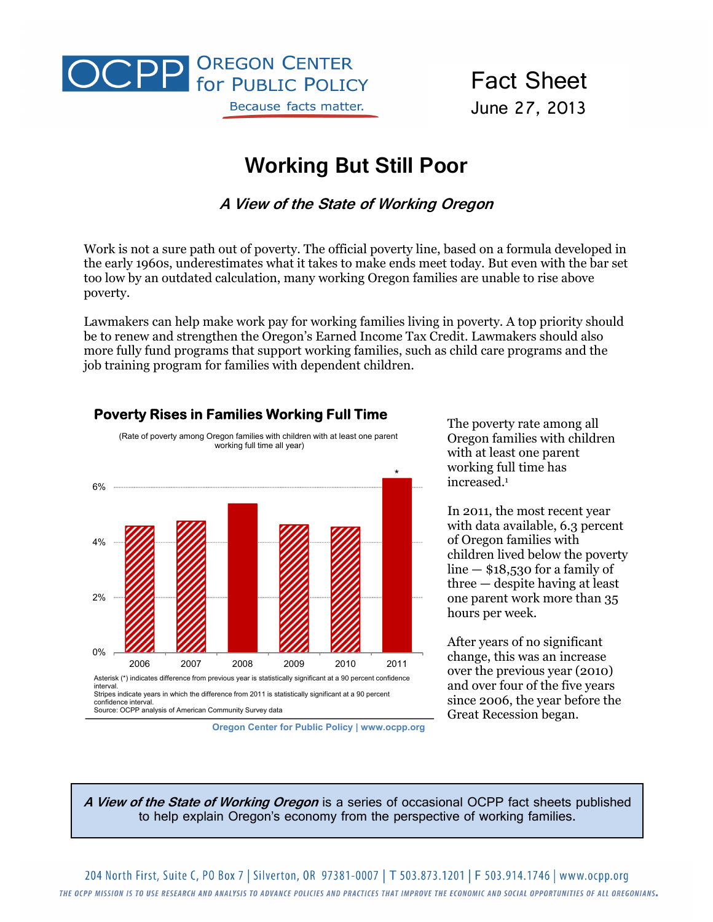

Fact Sheet June 27, 2013

# **Working But Still Poor**

**A View of the State of Working Oregon** 

Work is not a sure path out of poverty. The official poverty line, based on a formula developed in the early 1960s, underestimates what it takes to make ends meet today. But even with the bar set too low by an outdated calculation, many working Oregon families are unable to rise above poverty.

Lawmakers can help make work pay for working families living in poverty. A top priority should be to renew and strengthen the Oregon's Earned Income Tax Credit. Lawmakers should also more fully fund programs that support working families, such as child care programs and the job training program for families with dependent children.



**Poverty Rises in Families Working Full Time**

**Oregon Center for Public Policy | www.ocpp.org**

The poverty rate among all Oregon families with children with at least one parent working full time has increased.1

In 2011, the most recent year with data available, 6.3 percent of Oregon families with children lived below the poverty  $line -$ \$18,530 for a family of three — despite having at least one parent work more than 35 hours per week.

After years of no significant change, this was an increase over the previous year (2010) and over four of the five years since 2006, the year before the Great Recession began.

**A View of the State of Working Oregon** is a series of occasional OCPP fact sheets published to help explain Oregon's economy from the perspective of working families.

204 North First, Suite C, PO Box 7 | Silverton, OR 97381-0007 | T 503.873.1201 | F 503.914.1746 | www.ocpp.org THE OCPP MISSION IS TO USE RESEARCH AND ANALYSIS TO ADVANCE POLICIES AND PRACTICES THAT IMPROVE THE ECONOMIC AND SOCIAL OPPORTUNITIES OF ALL OREGONIANS.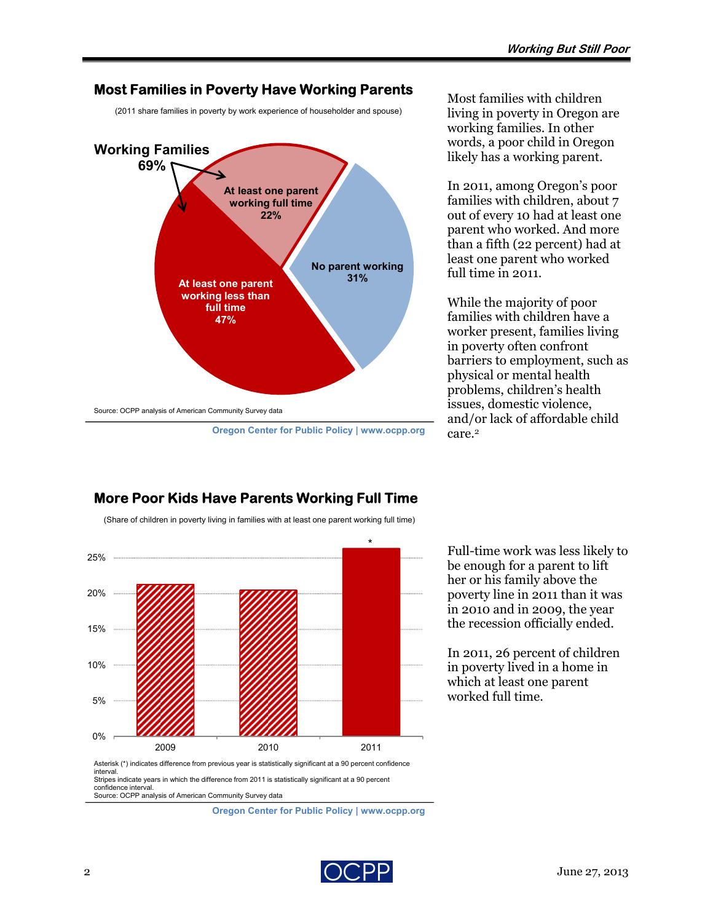### **Most Families in Poverty Have Working Parents**

(2011 share families in poverty by work experience of householder and spouse)



**Oregon Center for Public Policy | www.ocpp.org**

Most families with children living in poverty in Oregon are working families. In other words, a poor child in Oregon likely has a working parent.

In 2011, among Oregon's poor families with children, about 7 out of every 10 had at least one parent who worked. And more than a fifth (22 percent) had at least one parent who worked full time in 2011.

While the majority of poor families with children have a worker present, families living in poverty often confront barriers to employment, such as physical or mental health problems, children's health issues, domestic violence, and/or lack of affordable child care.2



## **More Poor Kids Have Parents Working Full Time** (Share of children in poverty living in families with at least one parent working full time)

Full-time work was less likely to be enough for a parent to lift her or his family above the poverty line in 2011 than it was in 2010 and in 2009, the year the recession officially ended.

In 2011, 26 percent of children in poverty lived in a home in which at least one parent worked full time.

**Oregon Center for Public Policy | www.ocpp.org**

confidence interval.

Source: OCPP analysis of American Community Survey data